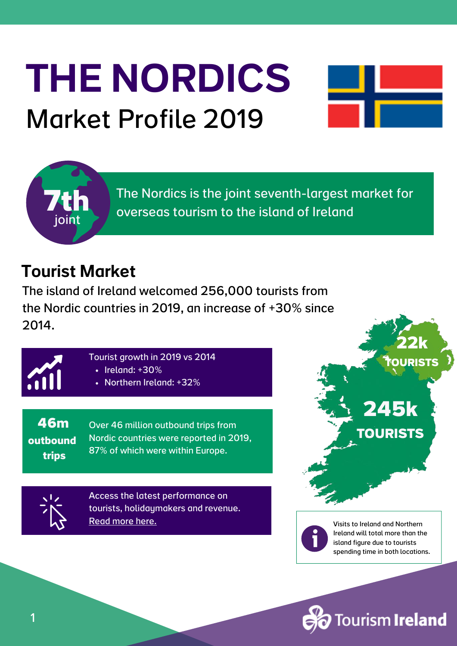# THE NORDICS Market Profile 2019





The Nordics is the joint seventh-largest market for overseas tourism to the island of Ireland

#### Tourist Market

The island of Ireland welcomed 256,000 tourists from the Nordic countries in 2019, an increase of +30% since 2014.



- Tourist growth in 2019 vs 2014
	- $\cdot$  Ireland: +30%
	- Northern Ireland: +32%

**46m outbound trips**

Over 46 million outbound trips from Nordic countries were reported in 2019, 87% of which were within Europe.

Access the latest performance on tourists, [holidaymakers](https://www.tourismireland.com/Research) and revenue[.](https://www.tourismireland.com/Research) [Read](https://www.tourismireland.com/Research) more here.





Visits to Ireland and Northern Ireland will total more than the island figure due to tourists spending time in both locations.

ourism **Ireland** 

1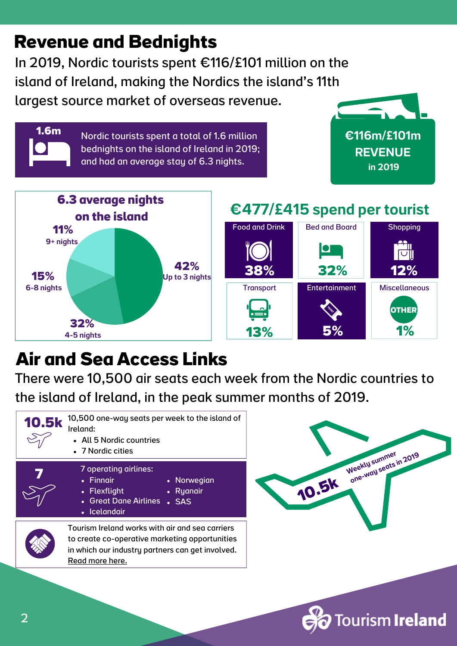#### **Revenue and Bednights**

**1.6m**

In 2019, Nordic tourists spent €116/£101 million on the island of Ireland, making the Nordics the island's 11th largest source market of overseas revenue.

> Nordic tourists spent a total of 1.6 million bednights on the island of Ireland in 2019; and had an average stay of 6.3 nights.

€116m/£101m **REVENUE** in 2019



#### €477/£415 spend per tourist



### **Air and Sea Access Links**

There were 10,500 air seats each week from the Nordic countries to the island of Ireland, in the peak summer months of 2019.





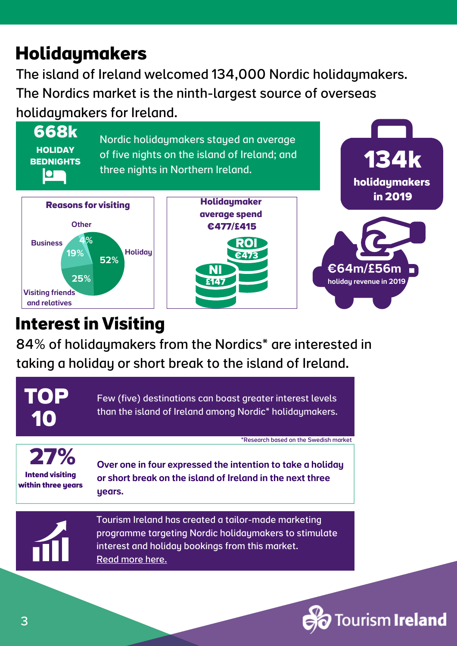## **Holidaymakers**

The island of Ireland welcomed 134,000 Nordic holidaymakers. The Nordics market is the ninth-largest source of overseas holidaymakers for Ireland.

**668k HOLIDAY BEDNIGHTS**  $\overline{\textbf{O}}$ 

Nordic holidaymakers stayed an average of five nights on the island of Ireland; and three nights in Northern Ireland.







**134k**

**holidaymakers**

#### **Interest in Visiting**

84% of holidaymakers from the Nordics\* are interested in taking a holiday or short break to the island of Ireland.



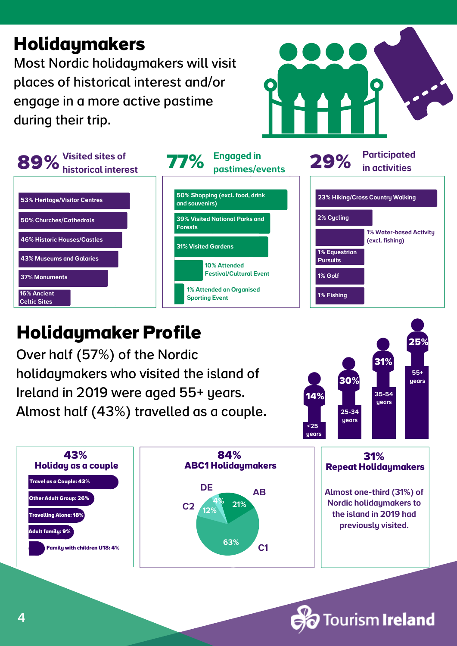#### **Holidaymakers**

Most Nordic holidaymakers will visit places of historical interest and/or engage in a more active pastime during their trip.





### **Holidaymaker Profile**

Over half (57%) of the Nordic holidaymakers who visited the island of Ireland in 2019 were aged 55+ years. Almost half (43%) travelled as a couple.





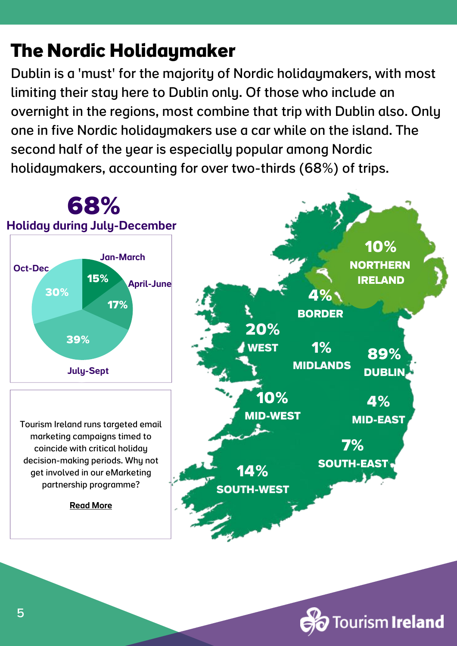## **The Nordic Holidaymaker**

Dublin is a 'must' for the majority of Nordic holidaymakers, with most limiting their stay here to Dublin only. Of those who include an overnight in the regions, most combine that trip with Dublin also. Only one in five Nordic holidaymakers use a car while on the island. The second half of the year is especially popular among Nordic holidaymakers, accounting for over two-thirds (68%) of trips.



Tourism **Ireland**